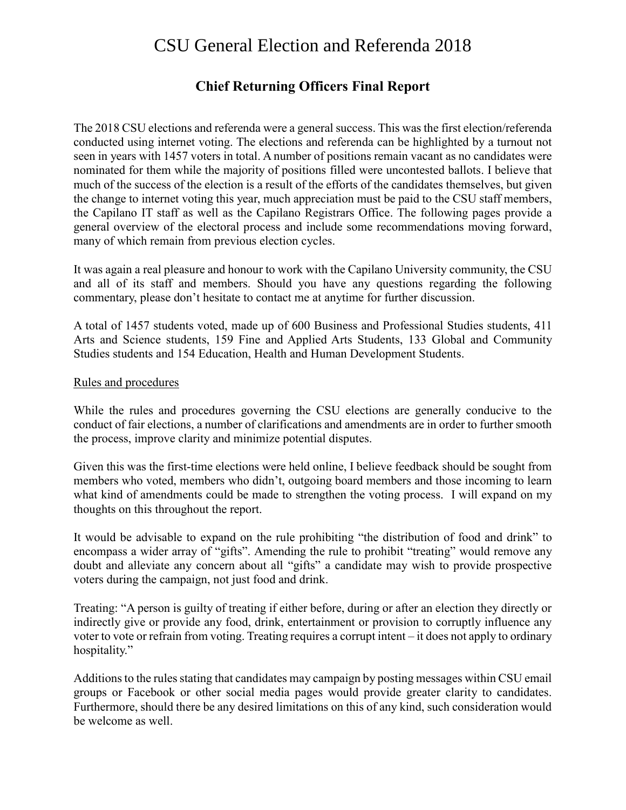# CSU General Election and Referenda 2018

## **Chief Returning Officers Final Report**

The 2018 CSU elections and referenda were a general success. This was the first election/referenda conducted using internet voting. The elections and referenda can be highlighted by a turnout not seen in years with 1457 voters in total. A number of positions remain vacant as no candidates were nominated for them while the majority of positions filled were uncontested ballots. I believe that much of the success of the election is a result of the efforts of the candidates themselves, but given the change to internet voting this year, much appreciation must be paid to the CSU staff members, the Capilano IT staff as well as the Capilano Registrars Office. The following pages provide a general overview of the electoral process and include some recommendations moving forward, many of which remain from previous election cycles.

It was again a real pleasure and honour to work with the Capilano University community, the CSU and all of its staff and members. Should you have any questions regarding the following commentary, please don't hesitate to contact me at anytime for further discussion.

A total of 1457 students voted, made up of 600 Business and Professional Studies students, 411 Arts and Science students, 159 Fine and Applied Arts Students, 133 Global and Community Studies students and 154 Education, Health and Human Development Students.

#### Rules and procedures

While the rules and procedures governing the CSU elections are generally conducive to the conduct of fair elections, a number of clarifications and amendments are in order to further smooth the process, improve clarity and minimize potential disputes.

Given this was the first-time elections were held online, I believe feedback should be sought from members who voted, members who didn't, outgoing board members and those incoming to learn what kind of amendments could be made to strengthen the voting process. I will expand on my thoughts on this throughout the report.

It would be advisable to expand on the rule prohibiting "the distribution of food and drink" to encompass a wider array of "gifts". Amending the rule to prohibit "treating" would remove any doubt and alleviate any concern about all "gifts" a candidate may wish to provide prospective voters during the campaign, not just food and drink.

Treating: "A person is guilty of treating if either before, during or after an election they directly or indirectly give or provide any food, drink, entertainment or provision to corruptly influence any voter to vote or refrain from voting. Treating requires a corrupt intent – it does not apply to ordinary hospitality."

Additions to the rules stating that candidates may campaign by posting messages within CSU email groups or Facebook or other social media pages would provide greater clarity to candidates. Furthermore, should there be any desired limitations on this of any kind, such consideration would be welcome as well.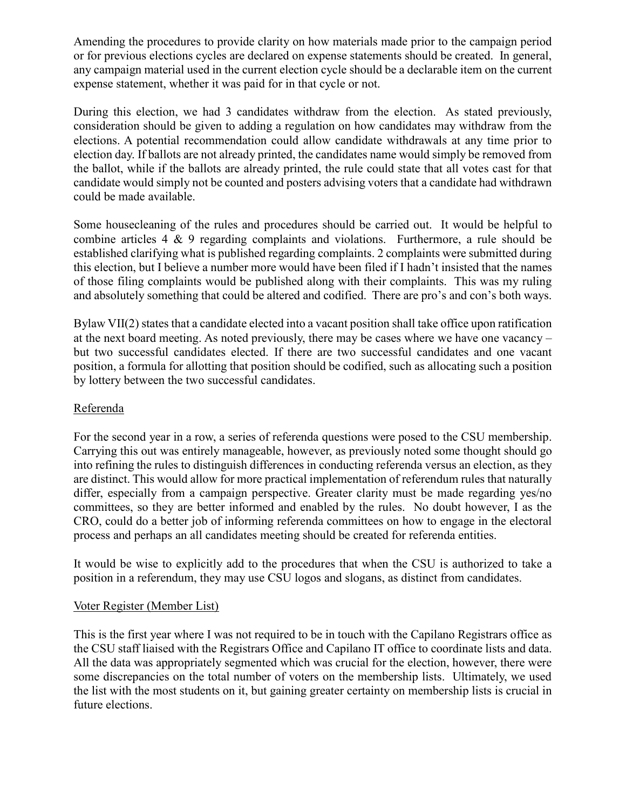Amending the procedures to provide clarity on how materials made prior to the campaign period or for previous elections cycles are declared on expense statements should be created. In general, any campaign material used in the current election cycle should be a declarable item on the current expense statement, whether it was paid for in that cycle or not.

During this election, we had 3 candidates withdraw from the election. As stated previously, consideration should be given to adding a regulation on how candidates may withdraw from the elections. A potential recommendation could allow candidate withdrawals at any time prior to election day. If ballots are not already printed, the candidates name would simply be removed from the ballot, while if the ballots are already printed, the rule could state that all votes cast for that candidate would simply not be counted and posters advising voters that a candidate had withdrawn could be made available.

Some housecleaning of the rules and procedures should be carried out. It would be helpful to combine articles 4 & 9 regarding complaints and violations. Furthermore, a rule should be established clarifying what is published regarding complaints. 2 complaints were submitted during this election, but I believe a number more would have been filed if I hadn't insisted that the names of those filing complaints would be published along with their complaints. This was my ruling and absolutely something that could be altered and codified. There are pro's and con's both ways.

Bylaw VII(2) states that a candidate elected into a vacant position shall take office upon ratification at the next board meeting. As noted previously, there may be cases where we have one vacancy – but two successful candidates elected. If there are two successful candidates and one vacant position, a formula for allotting that position should be codified, such as allocating such a position by lottery between the two successful candidates.

## Referenda

For the second year in a row, a series of referenda questions were posed to the CSU membership. Carrying this out was entirely manageable, however, as previously noted some thought should go into refining the rules to distinguish differences in conducting referenda versus an election, as they are distinct. This would allow for more practical implementation of referendum rules that naturally differ, especially from a campaign perspective. Greater clarity must be made regarding yes/no committees, so they are better informed and enabled by the rules. No doubt however, I as the CRO, could do a better job of informing referenda committees on how to engage in the electoral process and perhaps an all candidates meeting should be created for referenda entities.

It would be wise to explicitly add to the procedures that when the CSU is authorized to take a position in a referendum, they may use CSU logos and slogans, as distinct from candidates.

#### Voter Register (Member List)

This is the first year where I was not required to be in touch with the Capilano Registrars office as the CSU staff liaised with the Registrars Office and Capilano IT office to coordinate lists and data. All the data was appropriately segmented which was crucial for the election, however, there were some discrepancies on the total number of voters on the membership lists. Ultimately, we used the list with the most students on it, but gaining greater certainty on membership lists is crucial in future elections.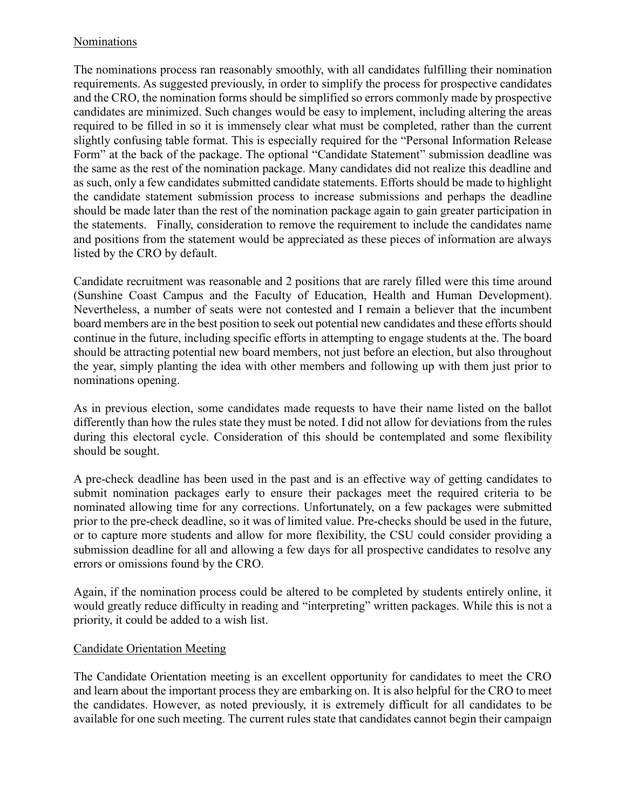#### Nominations

The nominations process ran reasonably smoothly, with all candidates fulfilling their nomination requirements. As suggested previously, in order to simplify the process for prospective candidates and the CRO, the nomination forms should be simplified so errors commonly made by prospective candidates are minimized. Such changes would be easy to implement, including altering the areas required to be filled in so it is immensely clear what must be completed, rather than the current slightly confusing table format. This is especially required for the "Personal Information Release Form" at the back of the package. The optional "Candidate Statement" submission deadline was the same as the rest of the nomination package. Many candidates did not realize this deadline and as such, only a few candidates submitted candidate statements. Efforts should be made to highlight the candidate statement submission process to increase submissions and perhaps the deadline should be made later than the rest of the nomination package again to gain greater participation in the statements. Finally, consideration to remove the requirement to include the candidates name and positions from the statement would be appreciated as these pieces of information are always listed by the CRO by default.

Candidate recruitment was reasonable and 2 positions that are rarely filled were this time around (Sunshine Coast Campus and the Faculty of Education, Health and Human Development). Nevertheless, a number of seats were not contested and I remain a believer that the incumbent board members are in the best position to seek out potential new candidates and these efforts should continue in the future, including specific efforts in attempting to engage students at the. The board should be attracting potential new board members, not just before an election, but also throughout the year, simply planting the idea with other members and following up with them just prior to nominations opening.

As in previous election, some candidates made requests to have their name listed on the ballot differently than how the rules state they must be noted. I did not allow for deviations from the rules during this electoral cycle. Consideration of this should be contemplated and some flexibility should be sought.

A pre-check deadline has been used in the past and is an effective way of getting candidates to submit nomination packages early to ensure their packages meet the required criteria to be nominated allowing time for any corrections. Unfortunately, on a few packages were submitted prior to the pre-check deadline, so it was of limited value. Pre-checks should be used in the future, or to capture more students and allow for more flexibility, the CSU could consider providing a submission deadline for all and allowing a few days for all prospective candidates to resolve any errors or omissions found by the CRO.

Again, if the nomination process could be altered to be completed by students entirely online, it would greatly reduce difficulty in reading and "interpreting" written packages. While this is not a priority, it could be added to a wish list.

## Candidate Orientation Meeting

The Candidate Orientation meeting is an excellent opportunity for candidates to meet the CRO and learn about the important process they are embarking on. It is also helpful for the CRO to meet the candidates. However, as noted previously, it is extremely difficult for all candidates to be available for one such meeting. The current rules state that candidates cannot begin their campaign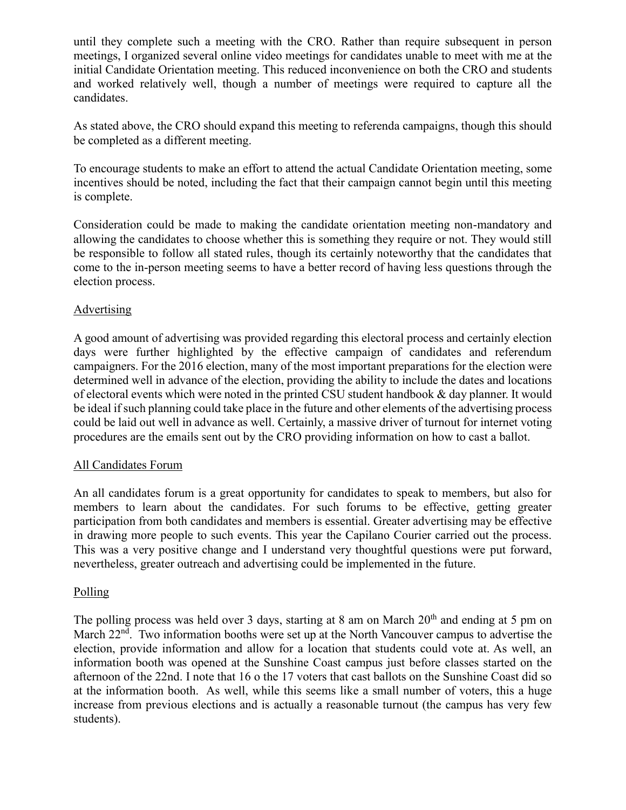until they complete such a meeting with the CRO. Rather than require subsequent in person meetings, I organized several online video meetings for candidates unable to meet with me at the initial Candidate Orientation meeting. This reduced inconvenience on both the CRO and students and worked relatively well, though a number of meetings were required to capture all the candidates.

As stated above, the CRO should expand this meeting to referenda campaigns, though this should be completed as a different meeting.

To encourage students to make an effort to attend the actual Candidate Orientation meeting, some incentives should be noted, including the fact that their campaign cannot begin until this meeting is complete.

Consideration could be made to making the candidate orientation meeting non-mandatory and allowing the candidates to choose whether this is something they require or not. They would still be responsible to follow all stated rules, though its certainly noteworthy that the candidates that come to the in-person meeting seems to have a better record of having less questions through the election process.

## Advertising

A good amount of advertising was provided regarding this electoral process and certainly election days were further highlighted by the effective campaign of candidates and referendum campaigners. For the 2016 election, many of the most important preparations for the election were determined well in advance of the election, providing the ability to include the dates and locations of electoral events which were noted in the printed CSU student handbook & day planner. It would be ideal if such planning could take place in the future and other elements of the advertising process could be laid out well in advance as well. Certainly, a massive driver of turnout for internet voting procedures are the emails sent out by the CRO providing information on how to cast a ballot.

## All Candidates Forum

An all candidates forum is a great opportunity for candidates to speak to members, but also for members to learn about the candidates. For such forums to be effective, getting greater participation from both candidates and members is essential. Greater advertising may be effective in drawing more people to such events. This year the Capilano Courier carried out the process. This was a very positive change and I understand very thoughtful questions were put forward, nevertheless, greater outreach and advertising could be implemented in the future.

## Polling

The polling process was held over 3 days, starting at 8 am on March  $20<sup>th</sup>$  and ending at 5 pm on March 22<sup>nd</sup>. Two information booths were set up at the North Vancouver campus to advertise the election, provide information and allow for a location that students could vote at. As well, an information booth was opened at the Sunshine Coast campus just before classes started on the afternoon of the 22nd. I note that 16 o the 17 voters that cast ballots on the Sunshine Coast did so at the information booth. As well, while this seems like a small number of voters, this a huge increase from previous elections and is actually a reasonable turnout (the campus has very few students).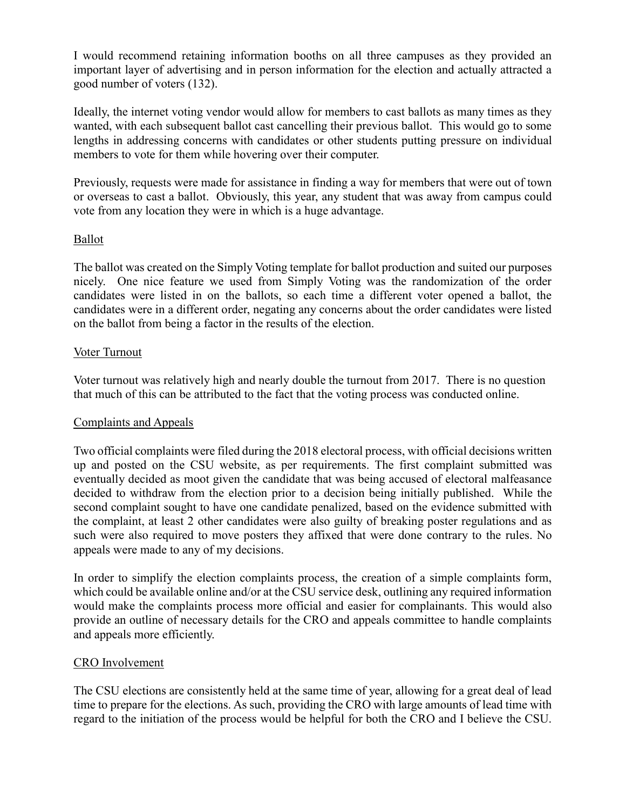I would recommend retaining information booths on all three campuses as they provided an important layer of advertising and in person information for the election and actually attracted a good number of voters (132).

Ideally, the internet voting vendor would allow for members to cast ballots as many times as they wanted, with each subsequent ballot cast cancelling their previous ballot. This would go to some lengths in addressing concerns with candidates or other students putting pressure on individual members to vote for them while hovering over their computer.

Previously, requests were made for assistance in finding a way for members that were out of town or overseas to cast a ballot. Obviously, this year, any student that was away from campus could vote from any location they were in which is a huge advantage.

#### Ballot

The ballot was created on the Simply Voting template for ballot production and suited our purposes nicely. One nice feature we used from Simply Voting was the randomization of the order candidates were listed in on the ballots, so each time a different voter opened a ballot, the candidates were in a different order, negating any concerns about the order candidates were listed on the ballot from being a factor in the results of the election.

#### Voter Turnout

Voter turnout was relatively high and nearly double the turnout from 2017. There is no question that much of this can be attributed to the fact that the voting process was conducted online.

#### Complaints and Appeals

Two official complaints were filed during the 2018 electoral process, with official decisions written up and posted on the CSU website, as per requirements. The first complaint submitted was eventually decided as moot given the candidate that was being accused of electoral malfeasance decided to withdraw from the election prior to a decision being initially published. While the second complaint sought to have one candidate penalized, based on the evidence submitted with the complaint, at least 2 other candidates were also guilty of breaking poster regulations and as such were also required to move posters they affixed that were done contrary to the rules. No appeals were made to any of my decisions.

In order to simplify the election complaints process, the creation of a simple complaints form, which could be available online and/or at the CSU service desk, outlining any required information would make the complaints process more official and easier for complainants. This would also provide an outline of necessary details for the CRO and appeals committee to handle complaints and appeals more efficiently.

#### CRO Involvement

The CSU elections are consistently held at the same time of year, allowing for a great deal of lead time to prepare for the elections. As such, providing the CRO with large amounts of lead time with regard to the initiation of the process would be helpful for both the CRO and I believe the CSU.